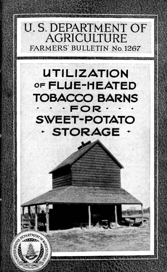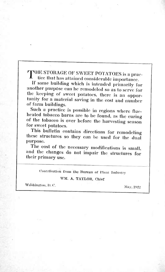# THE STORAGE OF SWEET POTATOES is a practice that has attained considerable importance.

If some building which is intended primarily for another purpose can be remodeled so as to serve for the keeping of sweet potatoes, there is an opportunity for a material saving in the cost and number of farm buildings.

Such a practice is possible in regions where flueheated tobacco barns are to be found, as the curing of the tobacco is over before the harvesting season for sweet potatoes.

This bulletin contains directions for remodeling these structures so they can be used for the dual purpose.

The cost of the necessary modifications is small, and the changes do not impair the structures for their primary use.

Contribution from the Bureau of Plant Industry

### WM. A. TAYLOR, Chief

Washington, D.C.

May, 1922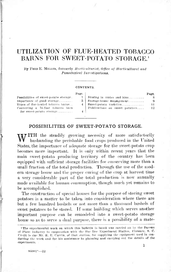# UTILIZATION OF FLUE-HEATED TOBACCO BARNS FOR SWEET-POTATO STORAGE.<sup>1</sup>

By FRED K. MILLEK, formerly *Horticvlturist, Office of Horticultural and Pomological Investigations*.

#### CONTENTS.

|                                        | Page. |                                     | Page. |
|----------------------------------------|-------|-------------------------------------|-------|
| Possibilities of sweet-potato storage. |       | Storing in crates and bins_________ |       |
| Importance of good storage________     |       | 3   Storage-house management        | 9     |
| Types of flue-heated tobacco barns__   | 4 1   | Sweet-potato varieties_____________ | 11.   |
| Converting a 16-foot tobacco barn      |       | Publications on sweet potatoes____  | 12    |
| for sweet-potato storage_________      |       |                                     |       |
|                                        |       |                                     |       |

### POSSIBILITIES OF SWEET-POTATO STORAGE.

WITH the steadily growing necessity of more satisfactorily husbanding the perishable food crops produced in the United States, the importance of adequate storage for the sweet-potato crop hecomes more important. It is only within recent years that the main sweet-potato producing territory of the country has been equipped with sufficient storage facilities for conserving more than a small fraction of the total production. Through the use of the modern storage house and the proper curing of the crop at harvest time a very considerable part of the total production is now annually made available for human consumption, though much yet remains to be accomplished.

The construction of special houses for the purpose of storing sweetpotatoes is a matter to be taken into consideration where there are but a few hundred bushels or not more than a thousand bushels of sweet potatoes to be stored. If some building which serves another important purpose can be remodeled into a sweet-potato storage house so as to serve a dual purpose, there is a possibility of a mate-

<sup>&</sup>lt;sup>1</sup> The experimental work on which this builetin is based was carried on by the Bureau of Plant Industry in cooperation with the Pee Dee Experiment Station, Florence, S. C. Credit is due Mr. R. E. Currin, of that station, for supplying the equipment used in conducting the work and for his assistance in planning and carrying out the details of the experiments.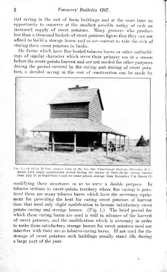rial saving in the cost of farm buildings and at the same time an opportunity to conserve at the smallest possible outlay of cash an increased supply of sweet potatoes. Many growers who produce increased supply of sweet potatoes. less than a thousand bushels of sweet potatoes figure that they can not afford to build a storage house and so are content to take the risk of storing their sweet potatoes in banks.

On farms which have flue-heated tobacco barns or other outbuildings of similar character which serve their primary use at a season before the sweet-potato harvest and are not needed for other purposes during the period covered by the curing and storing of sweet potatoes, a decided saving in the cost of construction can be made by



F10. 1.-A 16 by 16 foot tobacco barn at the l'ee Dee Experiment Station, Florence, S. C., which with slight modification served during the season of 1919-20 for curing tobacco from July 15 to September 1 and for sweet-potato storage from November 7 to March 25.

modifying these structures so as to serve <sup>a</sup> double purpose. In tobacco sections in sweet-potato territory where flue curing is practiced there are many tobacco barns which have the necessary equipment for providing the heat for curing sweet potatoes at harvest time that need only slight modification to become satisfactory sweet potato curing and storage houses. (Fig. 1.) The brief period for which these curing barns are used is well in advance of the harvest of sweet potatoes, and the modification which is necessary in order to make them satisfactory storage houses for sweet potatoes need not interfere with their use as tobacco-curing barns. If not used for the storage of sweet potatoes such buildings usually stand idle during a large part of the year.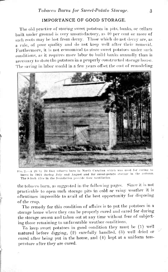### IMPORTANCE OF GOOD STORAGE.

The old practice of storing sweet potatoes in pits, banks, or cellars built under ground is very unsatisfactory, as 40 per cent or more of such roots may be lost from decay. Those which do not decay are, as a rule, of poor quality and do not keep well after their removal. Furthermore, it is not economical to store sweet potatoes under such conditions, as it requires more labgr to build banks annually than is necessary to store the potatoes in a properly constructed storage house. The saving in labor would in a few years offset the cost of remodeling



*Via.* 2.- A 20 by 20 foot tobacco barn in North Carolina which was used for curing to bacco in 1921 during July and August and for sweet-potato storage in the autumn. The 8-inch tiles in the foundation provide floor ventilation.

the tobacco barn, as suggested in the following pages. Since it is not practicable to open such storage pits in cold or rainy weather it is oftentimes impossible to avail of the best opportunity for disposing of the crop.

The remedy for this condition of affairs is to put the potatoes in a storage house where they can be properly cured and cared for during the storage season and taken out at any time without fear of subjecting those remaining to unfavorable weather conditions.

To keep sweet potatoes in good condition they must be (1) well matured before digging, (2) carefully handled, *(3)* well dried or cured after being put in the house, and (4) kept at a uniform temperature after they are cured.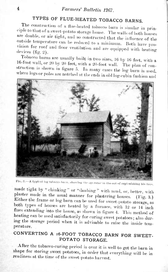# TYPES OF FLUE-HEATED TOBACCO BARNS.

The construction of a flue-heated tobacco bam is similar in principle to that of a sweet-potato storage house. The walls of both houses are double, or air tight, and so constructed that the influence of the outside temperature can be reduced to a minimum. Both have provision for roof and floor ventilation and are equipped with heating<br>devices (fig. 2).

Tobacco barns are usually built in two si2es, <sup>16</sup> by IG feet, with a 16-foot wall, or 20 by 20 feet, with a 20-foot wall. The plan of construction is shown in figure 5. In many cases the log barn is used, where logsor poles are notched at the ends in old log-cabin fashion and



FIG. 3.—A typical log tobacco barn, showing the operator in the act of replenishing his fires.

made tight by " chinking" or "daubing" with mud, or, better, with plaster made in the usual manner for plastering houses. (Fig. 3.) Either the frame or log barn can be used for sweet-potato storage, as both types of houses are heated by a furnace, with 12 or 14 inch flues extending into the house, as shown in figure 4. This method of heating can be used satisfactorily for curing sweet potatoes; also during the storage period when it is advisable to raise the inside temperature.

# CONVERTING A 16-FOOT TOBACCO BARN FOR SWEET-POTATO STORAGE.

After the tobacco-curing period is over it is well to get the barn in shape for storing sweet potatoes, in order that everything will be in readiness at the time of the sweet-potato harvest.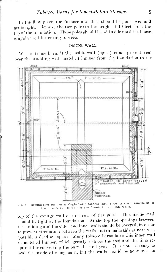In the first place, the furnace and flues should be gone over and made tight. Remove the tier poles to the height of 10 feet from the top of the foundation. These poles should be laid aside until the house is again used for curing tobacco.

#### INSIDE WALL.

With a frame barn, if the inside wall  $(fig. 5)$  is not present, seal over the studding with matched lumber from the foundation to the



Fig. 4.-Ground-floor plan of a single-frame tobacco barn, showing the arrangement of the furnace and flues; also the foundation and side walls.

top of the storage wall or first row of tier poles. This inside wall should fit tight at the foundation. At the top the openings between the studding and the outer and inner walls should be covered, in order to prevent circulation between the walls and to make this as nearly as possible a dead-air space. Many tobacco barns have this inner wall of matched lumber, which greatly reduces the cost and the time required for converting the barn the first year. It is not necessary to seal the inside of a log burn, but the walls should be gone over to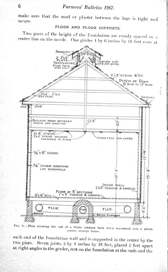make sure that the mud or plaster between the logs is tight and secure.

## FLOOR AND FLOOR SUPPORTS.

Two piers of the height of the foundation are evenly spaced on a center line on the inside. One girder 4 by 6 inches by 16 feet rests at



FtG. 5.-Plan showing the end of a frame tobacco barn when converted into a sweetpotato storage house.

each end of the foundation wall and is supported in the center by the two piers. Seven joists, 2 by 8 inches by 16 feet, placed 2 feet apart at right angles to the girder, rest on the foundation at the ends and the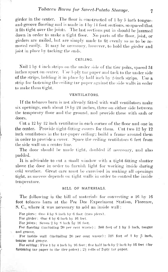girder in the center. The floor is constructed of <sup>1</sup> by 5 inch tongueand-groove flooring and is made in 4 by <sup>14</sup> foot sections, so spaced that it fits tight over the joists. The last sections put in should be jammed down in order to make a tight floor. Xo parts of the floor, joist, or girders are nailed, but are simply made to fit evenly so as to be removed easily. It may be necessary, however, to hold the girder and joist in place by tacking the ends.

#### **CEILING,**

Nail 1 by 4 inch strips on the under side of the tier poles, spaced 34 inches apart on center. Use 3-ply tar paper and tack to the under side of the strips, holding it in place by half inch by 2-inch strips. Use a strip for fastening the ceiling tar paper against the side walls in order to make them tight.

### **VENTILATORS.**

If the tobacco barn is not already fitted with wall ventilators make six openings, each about 18 by 24 inches, three on either side between the temporary floor and the ground, and provide these with sash or doors.

Cut a 12 by <sup>12</sup> inch ventilator in each corner of the floor and one in the center. Provide tight-fitting covers for them. Cut two 12 by 12 inch ventilators in the tar-paper ceiling; build <sup>a</sup> frame around them in order to provide a cover. Space the ceiling ventilators 6 feet from the side wall on a center line.

The door should be made tight, doubled if necessary, and also padded.

It is advisable to cut <sup>a</sup> small window with <sup>a</sup> tight-fitting shutter above the door in order to furnish light for working inside during eold weather. Great care must be exercised in making all openings tight, as success depends on tight walls in order to control the inside temperature.

#### **BILL OF MATERIALS.**

The following is the bill of materials for converting a 16 by 16 foot tobacco barn at the Pee Dee Experiment Station, Florence, S. C, where it was necessary to add an inside wall :

For plers: One 4 by 8 inch by 6 feet (two piers).

For girder: One 4 by 6 Inch by 16 feet.

For joists: Seven 2 by 8 Inch by 16 feet.

For flooring (including 20 per cent waste) : 300 feet of 1 by 5 Inch, tongue and groove.

For inside wall (Including 20 per cent waste): 768 feet of 1 by 5 inch, tongue and groove.

For celling : Five 1 by 4 inch by 16 feet ; five half inch by 2 inch by 16 feet (for fastening tar paper to the tier poles) ;  $2\frac{1}{2}$  rolls of 3-ply tar paper.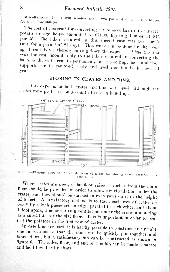## Farmers' Bulletin 1267.

Miscellaneous: One 4-light window sash; two pairs of 6-inch strap hinges for a window shutter.

The cost of material for converting the tobacco barn into a sweetpotato storage house amounted to \$71.03, figuring hunber at \$45 per M. The labor required in this special case was two men's time for a period of  $2\frac{1}{2}$  days. This work can be done by the average farm laborer, thereby cutting down the expense. After the first year the cost amounts only to the labor required in converting the barn, as the walls remain permanent, and the ceiling, floor, and floor supports can be removed easily and used indefinitely for several years.

# STORING IN CRATES AND BINS.

In this experiment both crates and bins were used, although the crates were preferred on account of ease in handling.



FIG. 6.-Diagram showing the construction of a bin for storing sweet potatoes in a tobacco harn

Where crates are used, a slat floor raised 4 inches from the main floor should be provided in order to allow air circulation under the crates, and they should be stacked in even rows on it to the height of 8 feet. A satisfactory method is to stack each row of crates on two 2 by 4 inch pieces set on edge, parallel to each other, and about 1 foot apart, thus permitting ventilation under the crates and acting as a substitute for the slat floor. This is important in order to protect the potatoes in the first row of crates.

In case bins are used, it is hardly possible to construct an upright one in sections so that the same can be quickly put together and taken down, but a satisfactory bin can be constructed as shown in figure 6. The sides, floor, and end of this bin can be made separate and held together by cleats.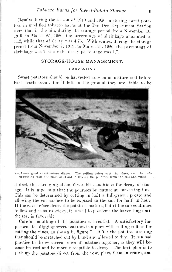Results during the season of 1919 and 1920 in storing sweet potatoes in modified tobacco barns at the Pee Dee Experiment Station show that in the bin, during the storage period from November 10, 1919, to March *20,* 1920, the percentage of shrinkage amounted to 11.2, while that of decay was 4.75. With crates, during the storage period from November 7, 1919, to March 24, 1920, the percentage of shrinkage was 7. while the decay percentage was 1.7.

### STORAGE-HOUSE MANAGEMENT.

### **HARVESTING.**

Sweet potatoes should he harvested as soon as mature and before hard frosts occur, for if left in the ground thev are liable to be



**Fio. 7.—A good SWIM'I potato** *áigeer.* **Tho rolllni; colter cuts the vine«, and the rods projecting fiom the moldhoard aid In freeing the potatoes from the soil and vines.**

chilled, thus bringing about favorable conditions for decay in storage. It is important that the potatoes be mature at harvesting time. This can be determined by cutting in half a full-grown potato and allowing the cut surface to be exposed to the sun for half an hour. If the cut surface dries, the potato is mature, but if the sap continues to flow and remains sticky, it is well to postpone the harvesting until the test is favorable.

Careful handling of the potatoes is essential. A satisfactory implement for digging sweet potatoes is a plow with rolling colters for cutting the vines, as shown in figure 7. After the potatoes are dug they should be scratched out by hand and allowed to dry. It is a bad practice to throw several rows of potatoes together, as they will become bruised and be more susceptible to decay. The best plan is to pick up the potatoes direct from the row. place them in crates, and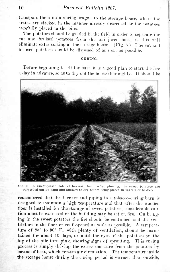transport them on a spring wagon to the storage house, where the crates are stacked in the manner already described or the potatoes carefully placed in the bins.

The potatoes should be graded in the field in order to separate the cut and bruised potatoes from the uninjured ones, as this will eliminate extra sorting at the storage house. (Fig. 8.) The cut and bruised potatoes should be disposed of as soon as possible.

### CURING.

Before beginning to fill the barn it is a good plan to start the fire a day in advance, so as to dry out the house thoroughly. It should be



8.—A sweet-potato field at harvest time. After plowing, the sweet potatoes are scratched out by hand and allowed to dry before being placed In barrels or baskets.

remembered that the furnace and piping in a tobacco-curing barn is designed to maintain a high temperature and that after the wooden floor is installed for the storage of sweet potatoes, considerable caution must be exercised or the building may be set on fire. On bringing in the sweet potatoes the fire should be continued and the ventilators in the floor or roof opened as wide as possible. A temperature of 85° to 90° F., with plenty of ventilation, should be maintained for about 10 days, or until the eyes of the potatoes on the top of the pile turn pink, showing signs of sprouting. This curing process is simply driving the excess moisture from the potatoes by means of heat, which creates air circulation. The temperature inside the storage bouse during the curing period is warmer than outside.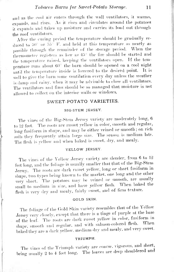and as the cool air enters through the wall ventilators, it warms, expands, and rises. As it rises and circulates around the potatoes it expands and takes up moisture and carries its load out through the roof ventilators.

After the curing period the temperature should be gradually reduced to 50 or 55 F. and held at this temperature as nearly as possihle through the remainder of the storage period. When the thermometer registers as low as  $45^{\circ}$  the fire should be started and the temperature raised, keeping the ventilators open. If the temperature runs about 60° the ham should be opened on a cool night until the temperature inside is lowered to the desired point. It is well to give the barn some ventilation every day unless the weather is damp and rainy, when it may be advisable to close all ventilators. The ventilators and fires should he so managed that moisture is not allowed to collect on the interior walls or windows.

### SWEET-POTATO VARIETIES.

#### **BIG-STEM JERSEY.**

The vines of the Big-Stem Jersey variety are moderately long, 6 to 12 feet. The roots are russet yellow in color, smooth and regular, long fusiform in shape, and may be either veined or smooth; on rich soils they frequently attain large size. The season is medium late. The flesh is yellow and when baked is sweet, dry, and mealy.

### **YELLOW JERSEY.**

The vines of the Yellow Jersey variety are slender, from 6 to 12 feet long, and the foliage is usually smaller that that of the Big-Stem Jersey. The roots are dark russet yellow, long or short fusiform in shape, two tvpes being known to the market, one long and the other very short. The potatoes may be veined or smooth, are usually small to medium in size, and have yellow flesh. When baked the flesh is very dry and mealy, fairly sweet, and of firm texture.

### **GOLD SKIN.**

The foliage of the Gold Skin variety resembles that of the Yellow Jersey yery closely, except that there is a tinge of purple at the base of the leaf. The roots are dark russet yellow in color, fusiform in shape, smooth and regular, and with salmon-colored flesh. When baked they are <sup>a</sup> dark yellow, medium dry and mealy, and very sweet.

### **TRIUMPH.**

The vines of the Triumph variety are coarse, vigorous, and short, being usually 2 to 4 feet long. The leaves are deep shouldered and